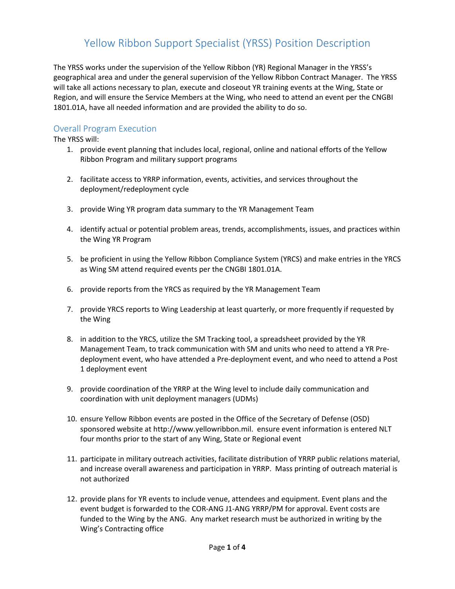The YRSS works under the supervision of the Yellow Ribbon (YR) Regional Manager in the YRSS's geographical area and under the general supervision of the Yellow Ribbon Contract Manager. The YRSS will take all actions necessary to plan, execute and closeout YR training events at the Wing, State or Region, and will ensure the Service Members at the Wing, who need to attend an event per the CNGBI 1801.01A, have all needed information and are provided the ability to do so.

#### Overall Program Execution

The YRSS will:

- 1. provide event planning that includes local, regional, online and national efforts of the Yellow Ribbon Program and military support programs
- 2. facilitate access to YRRP information, events, activities, and services throughout the deployment/redeployment cycle
- 3. provide Wing YR program data summary to the YR Management Team
- 4. identify actual or potential problem areas, trends, accomplishments, issues, and practices within the Wing YR Program
- 5. be proficient in using the Yellow Ribbon Compliance System (YRCS) and make entries in the YRCS as Wing SM attend required events per the CNGBI 1801.01A.
- 6. provide reports from the YRCS as required by the YR Management Team
- 7. provide YRCS reports to Wing Leadership at least quarterly, or more frequently if requested by the Wing
- 8. in addition to the YRCS, utilize the SM Tracking tool, a spreadsheet provided by the YR Management Team, to track communication with SM and units who need to attend a YR Predeployment event, who have attended a Pre-deployment event, and who need to attend a Post 1 deployment event
- 9. provide coordination of the YRRP at the Wing level to include daily communication and coordination with unit deployment managers (UDMs)
- 10. ensure Yellow Ribbon events are posted in the Office of the Secretary of Defense (OSD) sponsored website at http://www.yellowribbon.mil. ensure event information is entered NLT four months prior to the start of any Wing, State or Regional event
- 11. participate in military outreach activities, facilitate distribution of YRRP public relations material, and increase overall awareness and participation in YRRP. Mass printing of outreach material is not authorized
- 12. provide plans for YR events to include venue, attendees and equipment. Event plans and the event budget is forwarded to the COR-ANG J1-ANG YRRP/PM for approval. Event costs are funded to the Wing by the ANG. Any market research must be authorized in writing by the Wing's Contracting office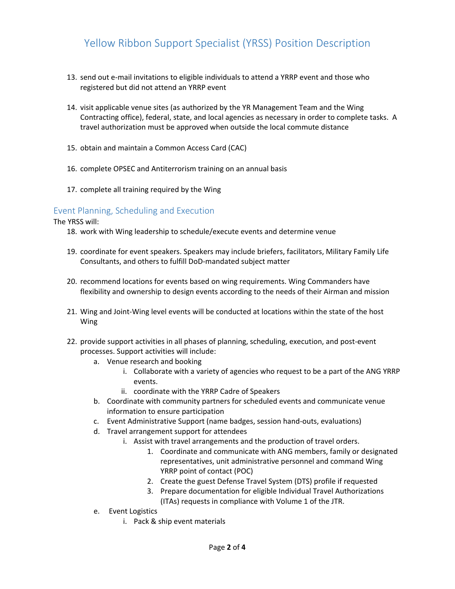- 13. send out e-mail invitations to eligible individuals to attend a YRRP event and those who registered but did not attend an YRRP event
- 14. visit applicable venue sites (as authorized by the YR Management Team and the Wing Contracting office), federal, state, and local agencies as necessary in order to complete tasks. A travel authorization must be approved when outside the local commute distance
- 15. obtain and maintain a Common Access Card (CAC)
- 16. complete OPSEC and Antiterrorism training on an annual basis
- 17. complete all training required by the Wing

#### Event Planning, Scheduling and Execution

The YRSS will:

- 18. work with Wing leadership to schedule/execute events and determine venue
- 19. coordinate for event speakers. Speakers may include briefers, facilitators, Military Family Life Consultants, and others to fulfill DoD-mandated subject matter
- 20. recommend locations for events based on wing requirements. Wing Commanders have flexibility and ownership to design events according to the needs of their Airman and mission
- 21. Wing and Joint-Wing level events will be conducted at locations within the state of the host Wing
- 22. provide support activities in all phases of planning, scheduling, execution, and post-event processes. Support activities will include:
	- a. Venue research and booking
		- i. Collaborate with a variety of agencies who request to be a part of the ANG YRRP events.
		- ii. coordinate with the YRRP Cadre of Speakers
	- b. Coordinate with community partners for scheduled events and communicate venue information to ensure participation
	- c. Event Administrative Support (name badges, session hand-outs, evaluations)
	- d. Travel arrangement support for attendees
		- i. Assist with travel arrangements and the production of travel orders.
			- 1. Coordinate and communicate with ANG members, family or designated representatives, unit administrative personnel and command Wing YRRP point of contact (POC)
			- 2. Create the guest Defense Travel System (DTS) profile if requested
			- 3. Prepare documentation for eligible Individual Travel Authorizations (ITAs) requests in compliance with Volume 1 of the JTR.
	- e. Event Logistics
		- i. Pack & ship event materials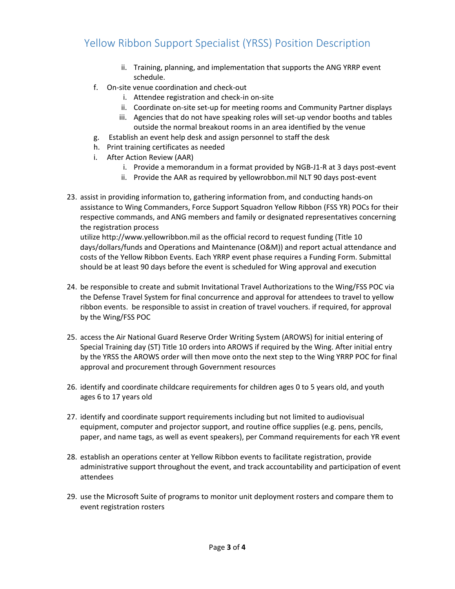- ii. Training, planning, and implementation that supports the ANG YRRP event schedule.
- f. On-site venue coordination and check-out
	- i. Attendee registration and check-in on-site
	- ii. Coordinate on-site set-up for meeting rooms and Community Partner displays
	- iii. Agencies that do not have speaking roles will set-up vendor booths and tables outside the normal breakout rooms in an area identified by the venue
- g. Establish an event help desk and assign personnel to staff the desk
- h. Print training certificates as needed
- i. After Action Review (AAR)
	- i. Provide a memorandum in a format provided by NGB-J1-R at 3 days post-event
	- ii. Provide the AAR as required by yellowrobbon.mil NLT 90 days post-event
- 23. assist in providing information to, gathering information from, and conducting hands-on assistance to Wing Commanders, Force Support Squadron Yellow Ribbon (FSS YR) POCs for their respective commands, and ANG members and family or designated representatives concerning the registration process

utilize http://www.yellowribbon.mil as the official record to request funding (Title 10 days/dollars/funds and Operations and Maintenance (O&M)) and report actual attendance and costs of the Yellow Ribbon Events. Each YRRP event phase requires a Funding Form. Submittal should be at least 90 days before the event is scheduled for Wing approval and execution

- 24. be responsible to create and submit Invitational Travel Authorizations to the Wing/FSS POC via the Defense Travel System for final concurrence and approval for attendees to travel to yellow ribbon events. be responsible to assist in creation of travel vouchers. if required, for approval by the Wing/FSS POC
- 25. access the Air National Guard Reserve Order Writing System (AROWS) for initial entering of Special Training day (ST) Title 10 orders into AROWS if required by the Wing. After initial entry by the YRSS the AROWS order will then move onto the next step to the Wing YRRP POC for final approval and procurement through Government resources
- 26. identify and coordinate childcare requirements for children ages 0 to 5 years old, and youth ages 6 to 17 years old
- 27. identify and coordinate support requirements including but not limited to audiovisual equipment, computer and projector support, and routine office supplies (e.g. pens, pencils, paper, and name tags, as well as event speakers), per Command requirements for each YR event
- 28. establish an operations center at Yellow Ribbon events to facilitate registration, provide administrative support throughout the event, and track accountability and participation of event attendees
- 29. use the Microsoft Suite of programs to monitor unit deployment rosters and compare them to event registration rosters